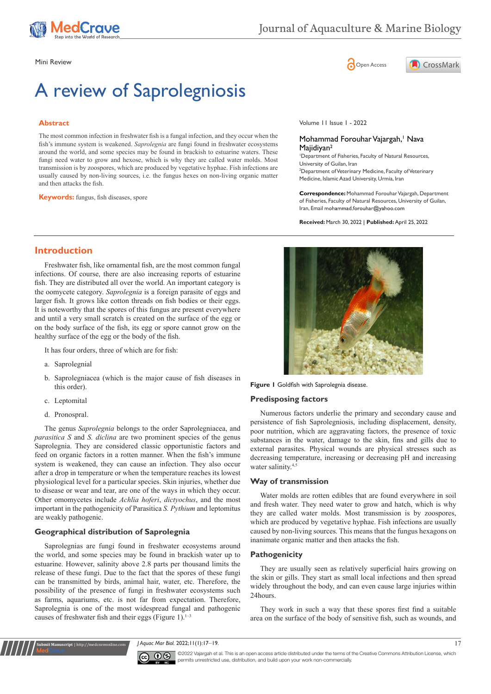

CrossMark

Mini Review **Open Access** 

# A review of Saprolegniosis

## **Abstract**

The most common infection in freshwater fish is a fungal infection, and they occur when the fish's immune system is weakened. *Saprolegnia* are fungi found in freshwater ecosystems around the world, and some species may be found in brackish to estuarine waters. These fungi need water to grow and hexose, which is why they are called water molds. Most transmission is by zoospores, which are produced by vegetative hyphae. Fish infections are usually caused by non-living sources, i.e. the fungus hexes on non-living organic matter and then attacks the fish.

**Keywords:** fungus, fish diseases, spore

Volume 11 Issue 1 - 2022

#### Mohammad Forouhar Vajargah,<sup>1</sup> Nava Majidiyan<sup>2</sup>

1 Department of Fisheries, Faculty of Natural Resources, University of Guilan, Iran 2 Department of Veterinary Medicine, Faculty of Veterinary Medicine, Islamic Azad University, Urmia, Iran

**Correspondence:** Mohammad Forouhar Vajargah, Department of Fisheries, Faculty of Natural Resources, University of Guilan, Iran, Email mohammad.forouhar@yahoo.com

**Received:** March 30, 2022 | **Published:** April 25, 2022

## **Introduction**

Freshwater fish, like ornamental fish, are the most common fungal infections. Of course, there are also increasing reports of estuarine fish. They are distributed all over the world. An important category is the oomycete category. *Saprolegnia* is a foreign parasite of eggs and larger fish. It grows like cotton threads on fish bodies or their eggs. It is noteworthy that the spores of this fungus are present everywhere and until a very small scratch is created on the surface of the egg or on the body surface of the fish, its egg or spore cannot grow on the healthy surface of the egg or the body of the fish.

It has four orders, three of which are for fish:

- a. Saprolegnial
- b. Saprolegniacea (which is the major cause of fish diseases in this order).
- c. Leptomital
- d. Pronospral.

The genus *Saprolegnia* belongs to the order Saprolegniacea, and *parasitica S* and *S. diclina* are two prominent species of the genus Saprolegnia. They are considered classic opportunistic factors and feed on organic factors in a rotten manner. When the fish's immune system is weakened, they can cause an infection. They also occur after a drop in temperature or when the temperature reaches its lowest physiological level for a particular species. Skin injuries, whether due to disease or wear and tear, are one of the ways in which they occur. Other omomycetes include *Achlia hoferi*, *dictyochus*, and the most important in the pathogenicity of Parasitica *S. Pythium* and leptomitus are weakly pathogenic.

## **Geographical distribution of Saprolegnia**

**Submit Manuscript** | http://medcraveonline.com

Saprolegnias are fungi found in freshwater ecosystems around the world, and some species may be found in brackish water up to estuarine. However, salinity above 2.8 parts per thousand limits the release of these fungi. Due to the fact that the spores of these fungi can be transmitted by birds, animal hair, water, etc. Therefore, the possibility of the presence of fungi in freshwater ecosystems such as farms, aquariums, etc. is not far from expectation. Therefore, Saprolegnia is one of the most widespread fungal and pathogenic causes of freshwater fish and their eggs (Figure 1). $1-3$ 





#### **Predisposing factors**

Numerous factors underlie the primary and secondary cause and persistence of fish Saprolegniosis, including displacement, density, poor nutrition, which are aggravating factors, the presence of toxic substances in the water, damage to the skin, fins and gills due to external parasites. Physical wounds are physical stresses such as decreasing temperature, increasing or decreasing pH and increasing water salinity.<sup>4,5</sup>

## **Way of transmission**

Water molds are rotten edibles that are found everywhere in soil and fresh water. They need water to grow and hatch, which is why they are called water molds. Most transmission is by zoospores, which are produced by vegetative hyphae. Fish infections are usually caused by non-living sources. This means that the fungus hexagons on inanimate organic matter and then attacks the fish.

## **Pathogenicity**

They are usually seen as relatively superficial hairs growing on the skin or gills. They start as small local infections and then spread widely throughout the body, and can even cause large injuries within 24hours.

They work in such a way that these spores first find a suitable area on the surface of the body of sensitive fish, such as wounds, and

*J Aquac Mar Biol.* 2022;11(1):17‒19. 17



©2022 Vajargah et al. This is an open access article distributed under the terms of the [Creative Commons Attribution License,](https://creativecommons.org/licenses/by-nc/4.0/) which permits unrestricted use, distribution, and build upon your work non-commercially.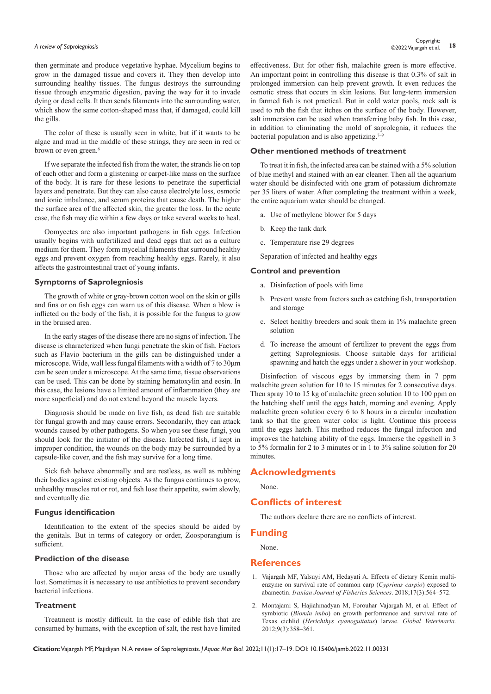then germinate and produce vegetative hyphae. Mycelium begins to grow in the damaged tissue and covers it. They then develop into surrounding healthy tissues. The fungus destroys the surrounding tissue through enzymatic digestion, paving the way for it to invade dying or dead cells. It then sends filaments into the surrounding water, which show the same cotton-shaped mass that, if damaged, could kill the gills.

The color of these is usually seen in white, but if it wants to be algae and mud in the middle of these strings, they are seen in red or brown or even green.<sup>6</sup>

If we separate the infected fish from the water, the strands lie on top of each other and form a glistening or carpet-like mass on the surface of the body. It is rare for these lesions to penetrate the superficial layers and penetrate. But they can also cause electrolyte loss, osmotic and ionic imbalance, and serum proteins that cause death. The higher the surface area of the affected skin, the greater the loss. In the acute case, the fish may die within a few days or take several weeks to heal.

Oomycetes are also important pathogens in fish eggs. Infection usually begins with unfertilized and dead eggs that act as a culture medium for them. They form mycelial filaments that surround healthy eggs and prevent oxygen from reaching healthy eggs. Rarely, it also affects the gastrointestinal tract of young infants.

#### **Symptoms of Saprolegniosis**

The growth of white or gray-brown cotton wool on the skin or gills and fins or on fish eggs can warn us of this disease. When a blow is inflicted on the body of the fish, it is possible for the fungus to grow in the bruised area.

In the early stages of the disease there are no signs of infection. The disease is characterized when fungi penetrate the skin of fish. Factors such as Flavio bacterium in the gills can be distinguished under a microscope. Wide, wall less fungal filaments with a width of 7 to 30μm can be seen under a microscope. At the same time, tissue observations can be used. This can be done by staining hematoxylin and eosin. In this case, the lesions have a limited amount of inflammation (they are more superficial) and do not extend beyond the muscle layers.

Diagnosis should be made on live fish, as dead fish are suitable for fungal growth and may cause errors. Secondarily, they can attack wounds caused by other pathogens. So when you see these fungi, you should look for the initiator of the disease. Infected fish, if kept in improper condition, the wounds on the body may be surrounded by a capsule-like cover, and the fish may survive for a long time.

Sick fish behave abnormally and are restless, as well as rubbing their bodies against existing objects. As the fungus continues to grow, unhealthy muscles rot or rot, and fish lose their appetite, swim slowly, and eventually die.

#### **Fungus identification**

Identification to the extent of the species should be aided by the genitals. But in terms of category or order, Zoosporangium is sufficient.

## **Prediction of the disease**

Those who are affected by major areas of the body are usually lost. Sometimes it is necessary to use antibiotics to prevent secondary bacterial infections.

#### **Treatment**

Treatment is mostly difficult. In the case of edible fish that are consumed by humans, with the exception of salt, the rest have limited effectiveness. But for other fish, malachite green is more effective. An important point in controlling this disease is that 0.3% of salt in prolonged immersion can help prevent growth. It even reduces the osmotic stress that occurs in skin lesions. But long-term immersion in farmed fish is not practical. But in cold water pools, rock salt is used to rub the fish that itches on the surface of the body. However, salt immersion can be used when transferring baby fish. In this case, in addition to eliminating the mold of saprolegnia, it reduces the bacterial population and is also appetizing.<sup>7–9</sup>

## **Other mentioned methods of treatment**

To treat it in fish, the infected area can be stained with a 5% solution of blue methyl and stained with an ear cleaner. Then all the aquarium water should be disinfected with one gram of potassium dichromate per 35 liters of water. After completing the treatment within a week, the entire aquarium water should be changed.

- a. Use of methylene blower for 5 days
- b. Keep the tank dark
- c. Temperature rise 29 degrees

Separation of infected and healthy eggs

#### **Control and prevention**

- a. Disinfection of pools with lime
- b. Prevent waste from factors such as catching fish, transportation and storage
- c. Select healthy breeders and soak them in 1% malachite green solution
- d. To increase the amount of fertilizer to prevent the eggs from getting Saprolegniosis. Choose suitable days for artificial spawning and hatch the eggs under a shower in your workshop.

Disinfection of viscous eggs by immersing them in 7 ppm malachite green solution for 10 to 15 minutes for 2 consecutive days. Then spray 10 to 15 kg of malachite green solution 10 to 100 ppm on the hatching shelf until the eggs hatch, morning and evening. Apply malachite green solution every 6 to 8 hours in a circular incubation tank so that the green water color is light. Continue this process until the eggs hatch. This method reduces the fungal infection and improves the hatching ability of the eggs. Immerse the eggshell in 3 to 5% formalin for 2 to 3 minutes or in 1 to 3% saline solution for 20 minutes.

## **Acknowledgments**

None.

## **Conflicts of interest**

The authors declare there are no conflicts of interest.

#### **Funding**

None.

# **References**

- 1. [Vajargah MF, Yalsuyi AM, Hedayati A. Effects of dietary Kemin multi](https://jifro.ir/browse.php?a_id=3495&sid=1&slc_lang=en)[enzyme on survival rate of common carp \(](https://jifro.ir/browse.php?a_id=3495&sid=1&slc_lang=en)*Cyprinus carpio*) exposed to abamectin. *[Iranian Journal of Fisheries Sciences](https://jifro.ir/browse.php?a_id=3495&sid=1&slc_lang=en)*. 2018;17(3):564–572.
- 2. [Montajami S, Hajiahmadyan M, Forouhar Vajargah M, et al. Effect of](https://www.idosi.org/gv/GV9(3)12/19.pdf)  symbiotic (*Biomin imbo*[\) on growth performance and survival rate of](https://www.idosi.org/gv/GV9(3)12/19.pdf)  Texas cichlid (*[Herichthys cyanoguttatus](https://www.idosi.org/gv/GV9(3)12/19.pdf)*) larvae. *Global Veterinaria*. [2012;9\(3\):358–361.](https://www.idosi.org/gv/GV9(3)12/19.pdf)